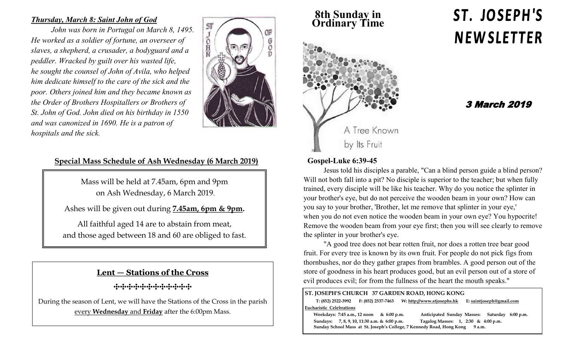## *Thursday, March 8: Saint John of God*

*John was born in Portugal on March 8, 1495. He worked as a soldier of fortune, an overseer of slaves, a shepherd, a crusader, a bodyguard and a peddler. Wracked by guilt over his wasted life, he sought the counsel of John of Avila, who helped him dedicate himself to the care of the sick and the poor. Others joined him and they became known as the Order of Brothers Hospitallers or Brothers of St. John of God. John died on his birthday in 1550 and was canonized in 1690. He is a patron of hospitals and the sick.*



## **Special Mass Schedule of Ash Wednesday (6 March 2019)**

Mass will be held at 7.45am, 6pm and 9pm on Ash Wednesday, 6 March 2019.

Ashes will be given out during **7.45am, 6pm & 9pm.**

All faithful aged 14 are to abstain from meat, and those aged between 18 and 60 are obliged to fast.

## **Lent — Stations of the Cross**

**⸭⸭⸭⸭⸭⸭⸭⸭⸭⸭⸭⸭**

During the season of Lent, we will have the Stations of the Cross in the parish every **Wednesday** and **Friday** after the 6:00pm Mass.

**8th Sunday in Ordinary Time**



# ST. JOSEPH'S **NEWSLETTER**

# 3 March 2019

### **Gospel-Luke 6:39-45**

Jesus told his disciples a parable, "Can a blind person guide a blind person? Will not both fall into a pit? No disciple is superior to the teacher; but when fully trained, every disciple will be like his teacher. Why do you notice the splinter in your brother's eye, but do not perceive the wooden beam in your own? How can you say to your brother, 'Brother, let me remove that splinter in your eye,' when you do not even notice the wooden beam in your own eye? You hypocrite! Remove the wooden beam from your eye first; then you will see clearly to remove the splinter in your brother's eye.

"A good tree does not bear rotten fruit, nor does a rotten tree bear good fruit. For every tree is known by its own fruit. For people do not pick figs from thornbushes, nor do they gather grapes from brambles. A good person out of the store of goodness in his heart produces good, but an evil person out of a store of evil produces evil; for from the fullness of the heart the mouth speaks."

#### **ST. JOSEPH'S CHURCH 37 GARDEN ROAD, HONG KONG T: (852) 2522-3992 F: (852) 2537-7463 W: http://www.stjosephs.hk E: saintjoseph@gmail.com Eucharistic Celebrations Weekdays: 7:45 a.m., 12 noon & 6:00 p.m. Anticipated Sunday Masses: Saturday 6:00 p.m. Sundays: 7, 8, 9, 10, 11:30 a.m. & 6:00 p.m. Tagalog Masses: 1, 2:30 & 4:00 p.m. Sunday School Mass at St. Joseph's College, 7 Kennedy Road, Hong Kong 9 a.m.**